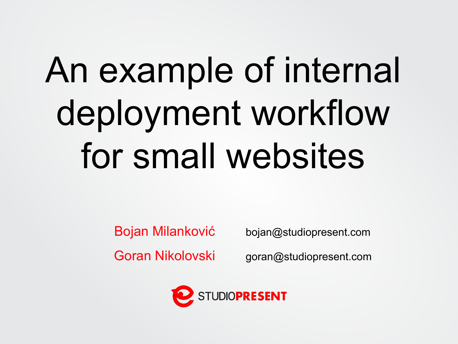# An example of internal deployment workflow for small websites

Bojan Milanković

Goran Nikolovski

bojan@studiopresent.com

goran@studiopresent.com

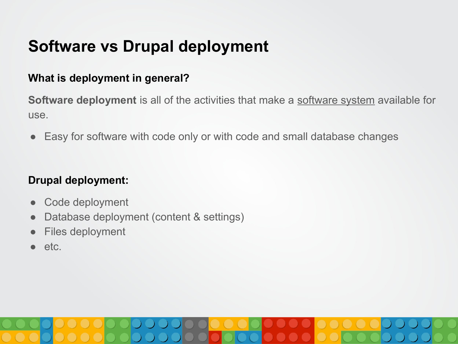# **Software vs Drupal deployment**

### **What is deployment in general?**

**Software deployment** is all of the activities that make a [software system](https://en.wikipedia.org/wiki/Software_system) available for use.

● Easy for software with code only or with code and small database changes

### **Drupal deployment:**

- Code deployment
- Database deployment (content & settings)
- Files deployment
- etc.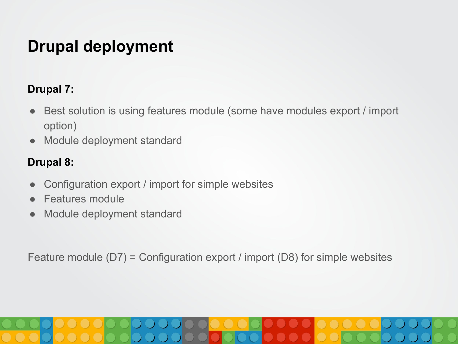# **Drupal deployment**

### **Drupal 7:**

- Best solution is using features module (some have modules export / import option)
- Module deployment standard

### **Drupal 8:**

- Configuration export / import for simple websites
- Features module
- Module deployment standard

Feature module (D7) = Configuration export / import (D8) for simple websites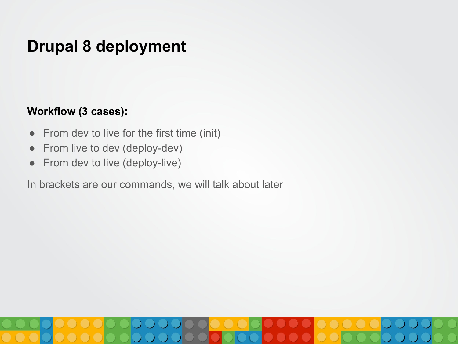# **Drupal 8 deployment**

### **Workflow (3 cases):**

- From dev to live for the first time (init)
- From live to dev (deploy-dev)
- From dev to live (deploy-live)

In brackets are our commands, we will talk about later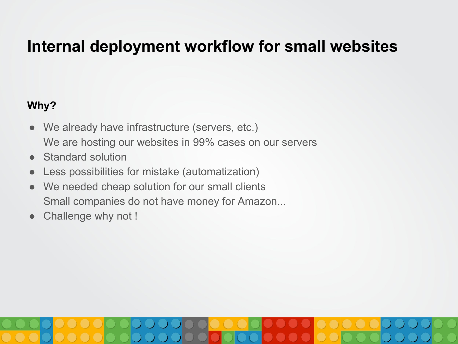### **Why?**

- We already have infrastructure (servers, etc.) We are hosting our websites in 99% cases on our servers
- **Standard solution**
- Less possibilities for mistake (automatization)
- We needed cheap solution for our small clients Small companies do not have money for Amazon...
- Challenge why not !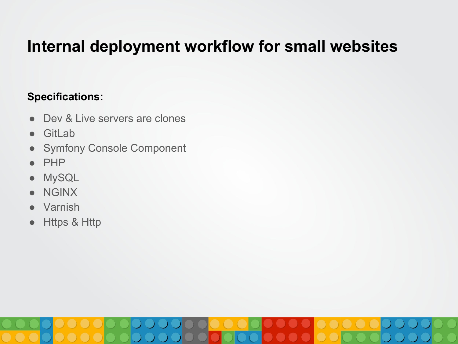### **Specifications:**

- Dev & Live servers are clones
- GitLab
- Symfony Console Component
- PHP
- MySQL
- NGINX
- Varnish
- Https & Http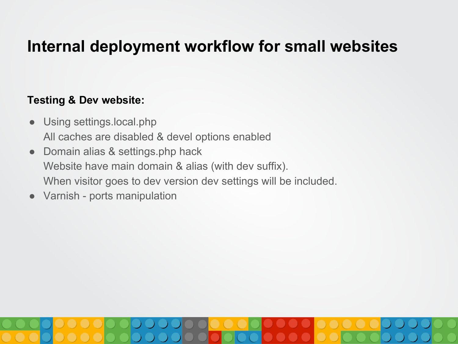### **Testing & Dev website:**

- Using settings.local.php All caches are disabled & devel options enabled
- Domain alias & settings.php hack Website have main domain & alias (with dev suffix). When visitor goes to dev version dev settings will be included.
- Varnish ports manipulation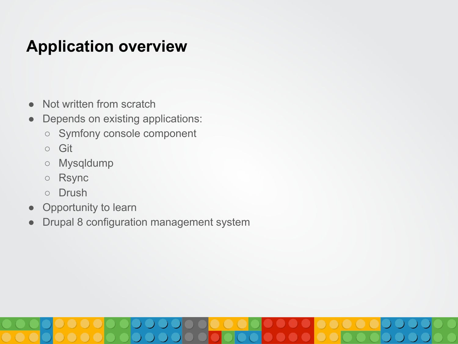# **Application overview**

- Not written from scratch
- Depends on existing applications:
	- Symfony console component
	- Git
	- Mysqldump
	- Rsync
	- Drush
- Opportunity to learn
- Drupal 8 configuration management system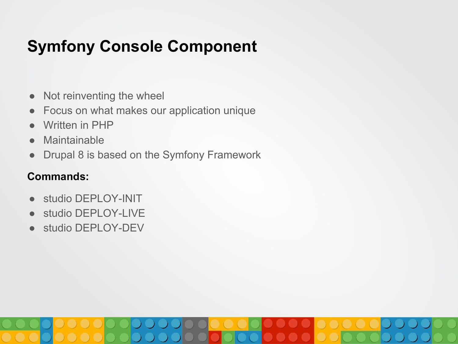# **Symfony Console Component**

- Not reinventing the wheel
- Focus on what makes our application unique
- Written in PHP
- Maintainable
- Drupal 8 is based on the Symfony Framework

### **Commands:**

- studio DEPLOY-INIT
- studio DEPLOY-LIVE
- studio DEPLOY-DEV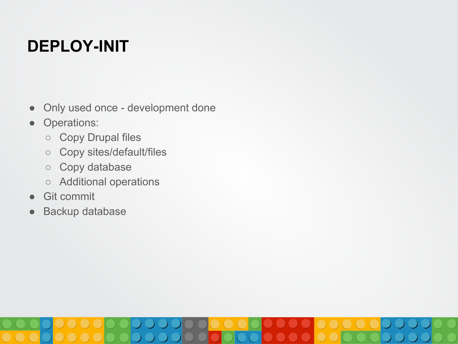# **DEPLOY-INIT**

- Only used once development done
- Operations:
	- Copy Drupal files
	- Copy sites/default/files
	- Copy database
	- Additional operations
- Git commit
- Backup database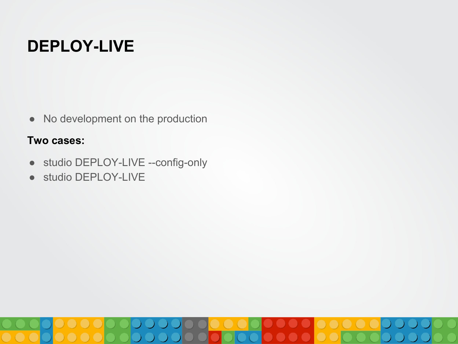# **DEPLOY-LIVE**

• No development on the production

### **Two cases:**

- studio DEPLOY-LIVE --config-only
- studio DEPLOY-LIVE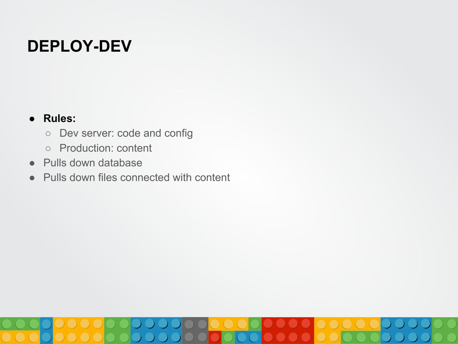# **DEPLOY-DEV**

### **● Rules:**

- Dev server: code and config
- Production: content
- Pulls down database
- Pulls down files connected with content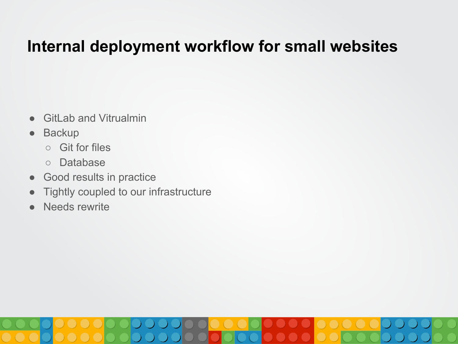- GitLab and Vitrualmin
- Backup
	- Git for files
	- Database
- Good results in practice
- Tightly coupled to our infrastructure
- Needs rewrite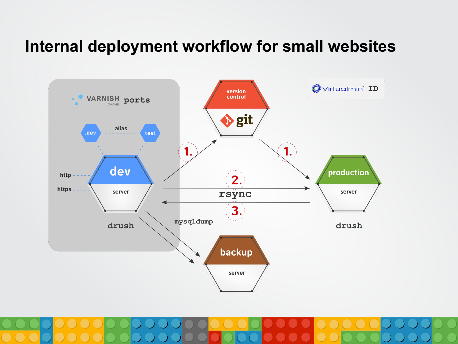